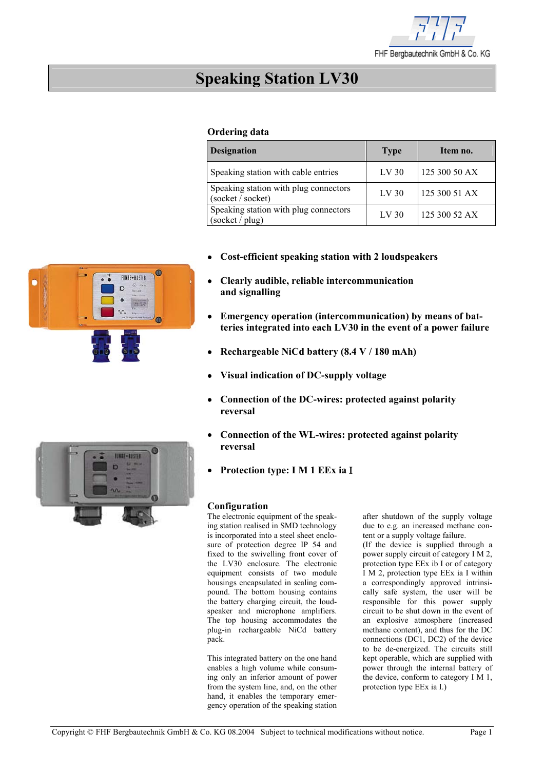

# **Speaking Station LV30**

## **Ordering data**

| <b>Designation</b>                                         | <b>Type</b>      | Item no.      |
|------------------------------------------------------------|------------------|---------------|
| Speaking station with cable entries                        | LV <sub>30</sub> | 125 300 50 AX |
| Speaking station with plug connectors<br>(socket / socket) | LV <sub>30</sub> | 125 300 51 AX |
| Speaking station with plug connectors<br>(sockets / plug)  | LV <sub>30</sub> | 125 300 52 AX |

- **Cost-efficient speaking station with 2 loudspeakers**
- **Clearly audible, reliable intercommunication and signalling**
- **Emergency operation (intercommunication) by means of batteries integrated into each LV30 in the event of a power failure**
- • **Rechargeable NiCd battery (8.4 V / 180 mAh)**
- **Visual indication of DC-supply voltage**
- **Connection of the DC-wires: protected against polarity reversal**
- **Connection of the WL-wires: protected against polarity reversal**
- **Protection type: I M 1 EEx ia** Ι

## **Configuration**

The electronic equipment of the speaking station realised in SMD technology is incorporated into a steel sheet enclosure of protection degree IP 54 and fixed to the swivelling front cover of the LV30 enclosure. The electronic equipment consists of two module housings encapsulated in sealing compound. The bottom housing contains the battery charging circuit, the loudspeaker and microphone amplifiers. The top housing accommodates the plug-in rechargeable NiCd battery pack.

This integrated battery on the one hand enables a high volume while consuming only an inferior amount of power from the system line, and, on the other hand, it enables the temporary emergency operation of the speaking station after shutdown of the supply voltage due to e.g. an increased methane content or a supply voltage failure.

(If the device is supplied through a power supply circuit of category I M 2, protection type EEx ib I or of category I M 2, protection type EEx ia I within a correspondingly approved intrinsically safe system, the user will be responsible for this power supply circuit to be shut down in the event of an explosive atmosphere (increased methane content), and thus for the DC connections (DC1, DC2) of the device to be de-energized. The circuits still kept operable, which are supplied with power through the internal battery of the device, conform to category I M 1, protection type EEx ia I.)



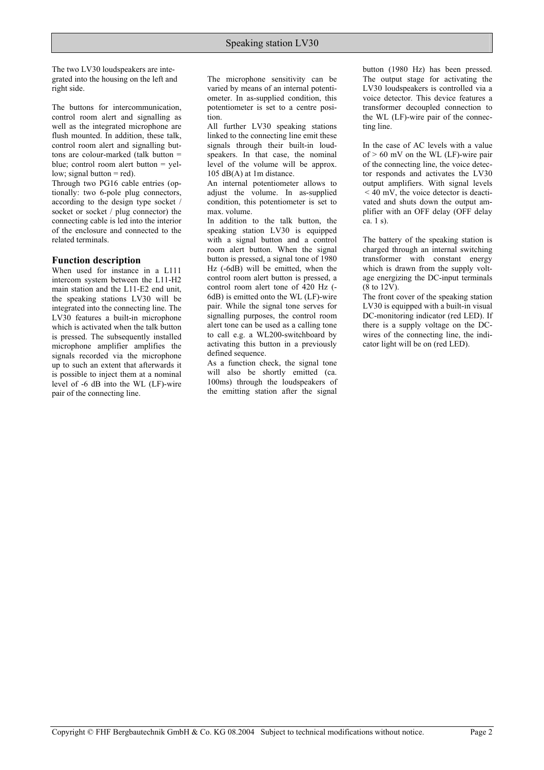The two LV30 loudspeakers are integrated into the housing on the left and right side.

The buttons for intercommunication, control room alert and signalling as well as the integrated microphone are flush mounted. In addition, these talk, control room alert and signalling buttons are colour-marked (talk button = blue; control room alert button = yellow; signal button  $=$  red).

Through two PG16 cable entries (optionally: two 6-pole plug connectors, according to the design type socket / socket or socket / plug connector) the connecting cable is led into the interior of the enclosure and connected to the related terminals.

#### **Function description**

When used for instance in a L111 intercom system between the L11-H2 main station and the L11-E2 end unit, the speaking stations LV30 will be integrated into the connecting line. The LV30 features a built-in microphone which is activated when the talk button is pressed. The subsequently installed microphone amplifier amplifies the signals recorded via the microphone up to such an extent that afterwards it is possible to inject them at a nominal level of -6 dB into the WL (LF)-wire pair of the connecting line.

The microphone sensitivity can be varied by means of an internal potentiometer. In as-supplied condition, this potentiometer is set to a centre position.

All further LV30 speaking stations linked to the connecting line emit these signals through their built-in loudspeakers. In that case, the nominal level of the volume will be approx. 105 dB(A) at 1m distance.

An internal potentiometer allows to adjust the volume. In as-supplied condition, this potentiometer is set to max. volume.

In addition to the talk button, the speaking station LV30 is equipped with a signal button and a control room alert button. When the signal button is pressed, a signal tone of 1980 Hz (-6dB) will be emitted, when the control room alert button is pressed, a control room alert tone of 420 Hz (- 6dB) is emitted onto the WL (LF)-wire pair. While the signal tone serves for signalling purposes, the control room alert tone can be used as a calling tone to call e.g. a WL200-switchboard by activating this button in a previously defined sequence.

As a function check, the signal tone will also be shortly emitted (ca. 100ms) through the loudspeakers of the emitting station after the signal button (1980 Hz) has been pressed. The output stage for activating the LV30 loudspeakers is controlled via a voice detector. This device features a transformer decoupled connection to the WL (LF)-wire pair of the connecting line.

In the case of AC levels with a value of  $> 60$  mV on the WL (LF)-wire pair of the connecting line, the voice detector responds and activates the LV30 output amplifiers. With signal levels  $<$  40 mV, the voice detector is deactivated and shuts down the output amplifier with an OFF delay (OFF delay ca. 1 s).

The battery of the speaking station is charged through an internal switching transformer with constant energy which is drawn from the supply voltage energizing the DC-input terminals (8 to 12V).

The front cover of the speaking station LV30 is equipped with a built-in visual DC-monitoring indicator (red LED). If there is a supply voltage on the DCwires of the connecting line, the indicator light will be on (red LED).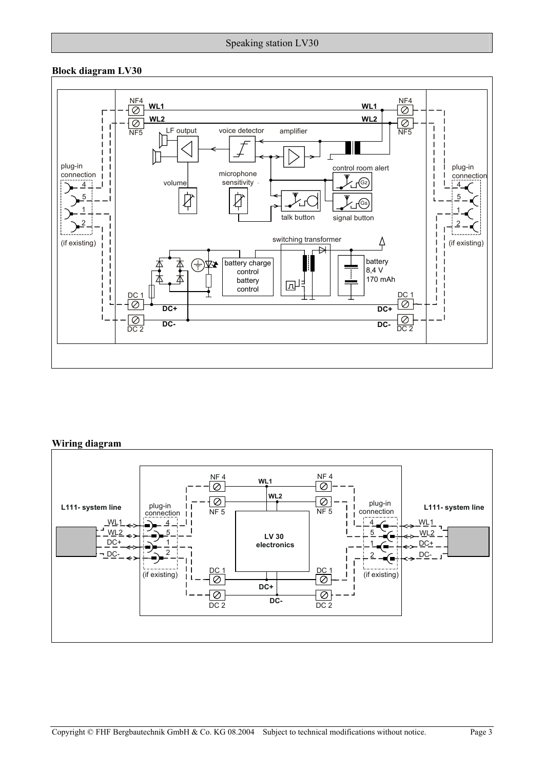## **Block diagram LV30**



## **Wiring diagram**

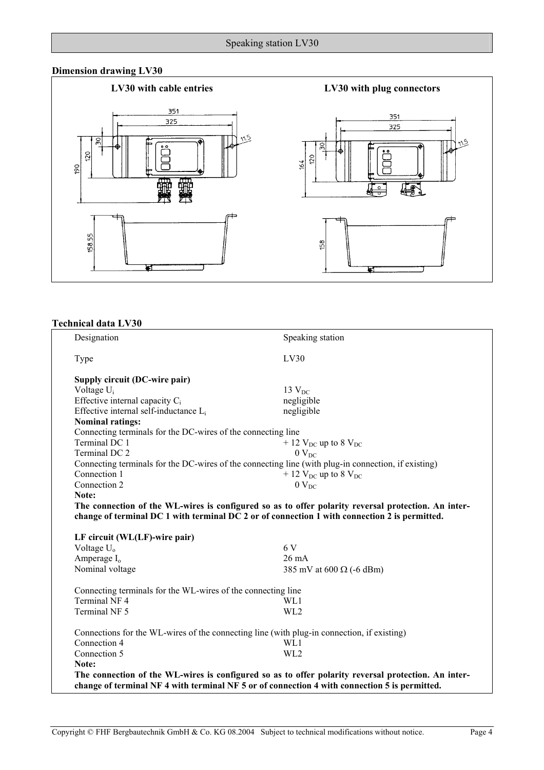## **Dimension drawing LV30**



## **Technical data LV30**

| Designation                                                  | Speaking station                                                                                    |
|--------------------------------------------------------------|-----------------------------------------------------------------------------------------------------|
| Type                                                         | LV30                                                                                                |
| Supply circuit (DC-wire pair)                                |                                                                                                     |
| Voltage $U_i$                                                | $13 V_{DC}$                                                                                         |
| Effective internal capacity $C_i$                            | negligible                                                                                          |
| Effective internal self-inductance L <sub>i</sub>            | negligible                                                                                          |
| <b>Nominal ratings:</b>                                      |                                                                                                     |
| Connecting terminals for the DC-wires of the connecting line |                                                                                                     |
| Terminal DC 1                                                | $+ 12$ V <sub>DC</sub> up to 8 V <sub>DC</sub>                                                      |
| Terminal DC 2                                                | $0$ $V_{DC}$                                                                                        |
|                                                              | Connecting terminals for the DC-wires of the connecting line (with plug-in connection, if existing) |
| Connection 1                                                 | $+ 12$ V <sub>DC</sub> up to 8 V <sub>DC</sub>                                                      |
| Connection 2                                                 | $0$ $V_{DC}$                                                                                        |
| Note:                                                        |                                                                                                     |
|                                                              |                                                                                                     |
|                                                              | The connection of the WL-wires is configured so as to offer polarity reversal protection. An inter- |
|                                                              | change of terminal DC 1 with terminal DC 2 or of connection 1 with connection 2 is permitted.       |
|                                                              |                                                                                                     |
| LF circuit (WL(LF)-wire pair)                                |                                                                                                     |
| Voltage $U_0$                                                | 6 V                                                                                                 |
| Amperage $I_0$                                               | 26 mA                                                                                               |
| Nominal voltage                                              | 385 mV at 600 $\Omega$ (-6 dBm)                                                                     |
| Connecting terminals for the WL-wires of the connecting line |                                                                                                     |
| Terminal NF 4                                                | WL1                                                                                                 |
| Terminal NF 5                                                | WL2                                                                                                 |
|                                                              | Connections for the WL-wires of the connecting line (with plug-in connection, if existing)          |
| Connection 4                                                 | WL1                                                                                                 |
| Connection 5                                                 | WL <sub>2</sub>                                                                                     |
| Note:                                                        |                                                                                                     |
|                                                              | The connection of the WL-wires is configured so as to offer polarity reversal protection. An inter- |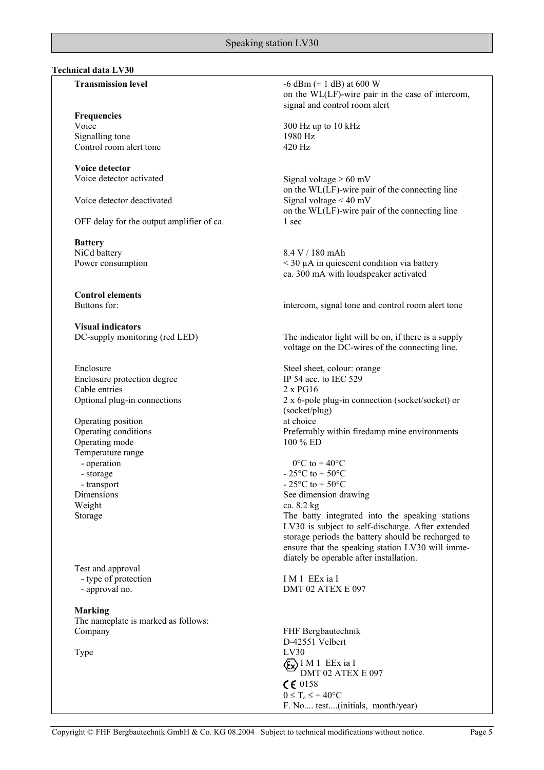## **Technical data LV30**

**Frequencies** 

Signalling tone 1980 Hz Control room alert tone 420 Hz

**Voice detector** 

Voice detector deactivated Signal voltage < 40 mV

OFF delay for the output amplifier of ca. 1 sec

**Battery**  NiCd battery 8.4 V / 180 mAh

**Control elements** 

**Visual indicators**

Enclosure Steel sheet, colour: orange Enclosure protection degree IP 54 acc. to IEC 529 Cable entries 2 x PG16

Operating position at choice<br>
Operating conditions<br>
Preferrab Operating mode 100 % ED Temperature range - operation - storage - transport Weight ca. 8.2 kg

Test and approval - type of protection - approval no.

**Marking** The nameplate is marked as follows: Company FHF Bergbautechnik

**Transmission level** -6 dBm ( $\pm$  1 dB) at 600 W on the WL(LF)-wire pair in the case of intercom, signal and control room alert

Voice 300 Hz up to 10 kHz

Voice detector activated Signal voltage  $\geq 60$  mV on the WL(LF)-wire pair of the connecting line on the WL(LF)-wire pair of the connecting line

Power consumption  $\leq 30 \mu A$  in quiescent condition via battery ca. 300 mA with loudspeaker activated

Buttons for: intercom, signal tone and control room alert tone

DC-supply monitoring (red LED) The indicator light will be on, if there is a supply voltage on the DC-wires of the connecting line.

Optional plug-in connections 2 x 6-pole plug-in connection (socket/socket) or (socket/plug) Preferrably within firedamp mine environments

 $0^{\circ}$ C to  $+$  40 $^{\circ}$ C - 25 $\rm{^{\circ}C}$  to + 50 $\rm{^{\circ}C}$  $-25^{\circ}$ C to  $+50^{\circ}$ C Dimensions See dimension drawing Storage The batty integrated into the speaking stations

LV30 is subject to self-discharge. After extended storage periods the battery should be recharged to ensure that the speaking station LV30 will immediately be operable after installation.

I M 1 EEx ia I DMT 02 ATEX E 097

D-42551 Velbert Type LV30 I M 1 EEx ia I DMT 02 ATEX E 097 CE 0158  $0 \leq T_a \leq +40$ °C F. No.... test....(initials, month/year)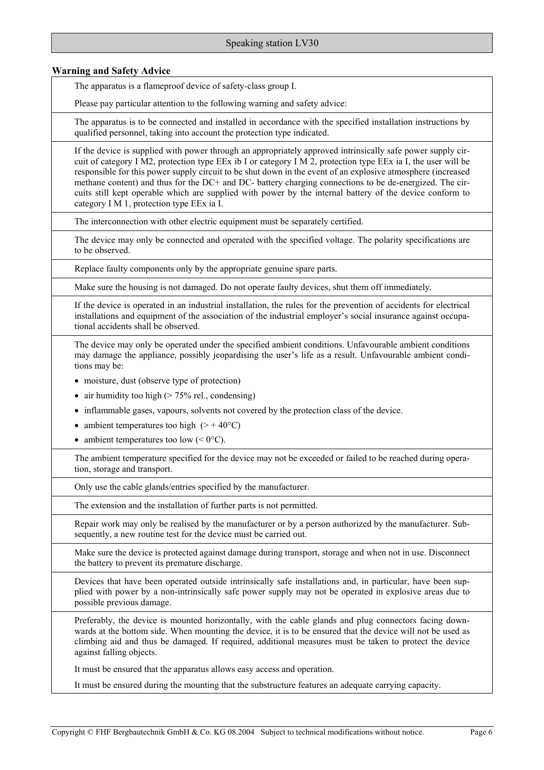## **Warning and Safety Advice**

The apparatus is a flameproof device of safety-class group I.

Please pay particular attention to the following warning and safety advice:

The apparatus is to be connected and installed in accordance with the specified installation instructions by qualified personnel, taking into account the protection type indicated.

If the device is supplied with power through an appropriately approved intrinsically safe power supply circuit of category I M2, protection type EEx ib I or category I M 2, protection type EEx ia I, the user will be responsible for this power supply circuit to be shut down in the event of an explosive atmosphere (increased methane content) and thus for the DC+ and DC- battery charging connections to be de-energized. The circuits still kept operable which are supplied with power by the internal battery of the device conform to category I M 1, protection type EEx ia I.

The interconnection with other electric equipment must be separately certified.

The device may only be connected and operated with the specified voltage. The polarity specifications are to be observed.

Replace faulty components only by the appropriate genuine spare parts.

Make sure the housing is not damaged. Do not operate faulty devices, shut them off immediately.

If the device is operated in an industrial installation, the rules for the prevention of accidents for electrical installations and equipment of the association of the industrial employer's social insurance against occupational accidents shall be observed.

The device may only be operated under the specified ambient conditions. Unfavourable ambient conditions may damage the appliance, possibly jeopardising the user's life as a result. Unfavourable ambient conditions may be:

- moisture, dust (observe type of protection)
- air humidity too high  $($  > 75% rel., condensing)
- inflammable gases, vapours, solvents not covered by the protection class of the device.
- ambient temperatures too high  $(> + 40^{\circ}C)$
- ambient temperatures too low  $( $0^{\circ}C$ ).$

The ambient temperature specified for the device may not be exceeded or failed to be reached during operation, storage and transport.

Only use the cable glands/entries specified by the manufacturer.

The extension and the installation of further parts is not permitted.

Repair work may only be realised by the manufacturer or by a person authorized by the manufacturer. Subsequently, a new routine test for the device must be carried out.

Make sure the device is protected against damage during transport, storage and when not in use. Disconnect the battery to prevent its premature discharge.

Devices that have been operated outside intrinsically safe installations and, in particular, have been supplied with power by a non-intrinsically safe power supply may not be operated in explosive areas due to possible previous damage.

Preferably, the device is mounted horizontally, with the cable glands and plug connectors facing downwards at the bottom side. When mounting the device, it is to be ensured that the device will not be used as climbing aid and thus be damaged. If required, additional measures must be taken to protect the device against falling objects.

It must be ensured that the apparatus allows easy access and operation.

It must be ensured during the mounting that the substructure features an adequate carrying capacity.